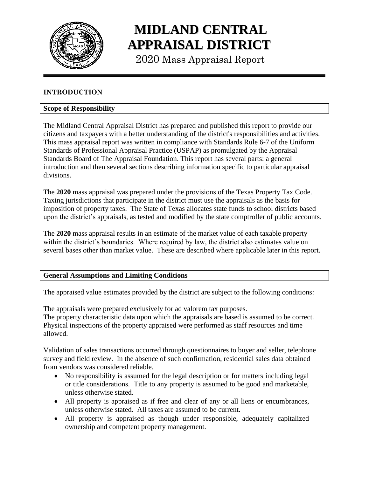

# **MIDLAND CENTRAL APPRAISAL DISTRICT**

2020 Mass Appraisal Report

# **INTRODUCTION**

# **Scope of Responsibility**

The Midland Central Appraisal District has prepared and published this report to provide our citizens and taxpayers with a better understanding of the district's responsibilities and activities. This mass appraisal report was written in compliance with Standards Rule 6-7 of the Uniform Standards of Professional Appraisal Practice (USPAP) as promulgated by the Appraisal Standards Board of The Appraisal Foundation. This report has several parts: a general introduction and then several sections describing information specific to particular appraisal divisions.

The **2020** mass appraisal was prepared under the provisions of the Texas Property Tax Code. Taxing jurisdictions that participate in the district must use the appraisals as the basis for imposition of property taxes. The State of Texas allocates state funds to school districts based upon the district's appraisals, as tested and modified by the state comptroller of public accounts.

The **2020** mass appraisal results in an estimate of the market value of each taxable property within the district's boundaries. Where required by law, the district also estimates value on several bases other than market value. These are described where applicable later in this report.

#### **General Assumptions and Limiting Conditions**

The appraised value estimates provided by the district are subject to the following conditions:

The appraisals were prepared exclusively for ad valorem tax purposes. The property characteristic data upon which the appraisals are based is assumed to be correct. Physical inspections of the property appraised were performed as staff resources and time allowed.

Validation of sales transactions occurred through questionnaires to buyer and seller, telephone survey and field review. In the absence of such confirmation, residential sales data obtained from vendors was considered reliable.

- No responsibility is assumed for the legal description or for matters including legal or title considerations. Title to any property is assumed to be good and marketable, unless otherwise stated.
- All property is appraised as if free and clear of any or all liens or encumbrances, unless otherwise stated. All taxes are assumed to be current.
- All property is appraised as though under responsible, adequately capitalized ownership and competent property management.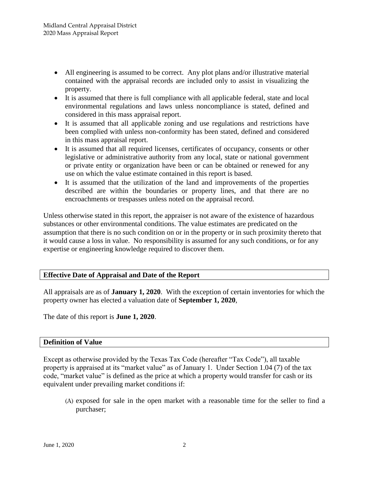- All engineering is assumed to be correct. Any plot plans and/or illustrative material contained with the appraisal records are included only to assist in visualizing the property.
- It is assumed that there is full compliance with all applicable federal, state and local environmental regulations and laws unless noncompliance is stated, defined and considered in this mass appraisal report.
- It is assumed that all applicable zoning and use regulations and restrictions have been complied with unless non-conformity has been stated, defined and considered in this mass appraisal report.
- It is assumed that all required licenses, certificates of occupancy, consents or other legislative or administrative authority from any local, state or national government or private entity or organization have been or can be obtained or renewed for any use on which the value estimate contained in this report is based.
- It is assumed that the utilization of the land and improvements of the properties described are within the boundaries or property lines, and that there are no encroachments or trespasses unless noted on the appraisal record.

Unless otherwise stated in this report, the appraiser is not aware of the existence of hazardous substances or other environmental conditions. The value estimates are predicated on the assumption that there is no such condition on or in the property or in such proximity thereto that it would cause a loss in value. No responsibility is assumed for any such conditions, or for any expertise or engineering knowledge required to discover them.

# **Effective Date of Appraisal and Date of the Report**

All appraisals are as of **January 1, 2020**. With the exception of certain inventories for which the property owner has elected a valuation date of **September 1, 2020**,

The date of this report is **June 1, 2020**.

#### **Definition of Value**

Except as otherwise provided by the Texas Tax Code (hereafter "Tax Code"), all taxable property is appraised at its "market value" as of January 1. Under Section 1.04 (7) of the tax code, "market value" is defined as the price at which a property would transfer for cash or its equivalent under prevailing market conditions if:

(A) exposed for sale in the open market with a reasonable time for the seller to find a purchaser;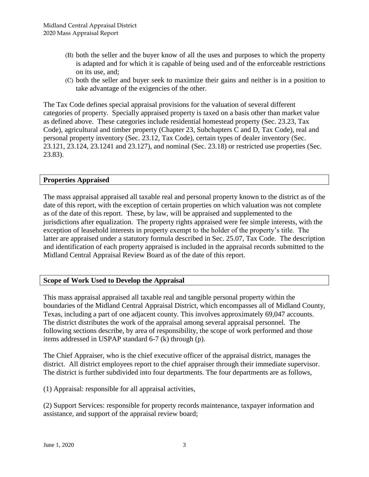- (B) both the seller and the buyer know of all the uses and purposes to which the property is adapted and for which it is capable of being used and of the enforceable restrictions on its use, and;
- (C) both the seller and buyer seek to maximize their gains and neither is in a position to take advantage of the exigencies of the other.

The Tax Code defines special appraisal provisions for the valuation of several different categories of property. Specially appraised property is taxed on a basis other than market value as defined above. These categories include residential homestead property (Sec. 23.23, Tax Code), agricultural and timber property (Chapter 23, Subchapters C and D, Tax Code), real and personal property inventory (Sec. 23.12, Tax Code), certain types of dealer inventory (Sec. 23.121, 23.124, 23.1241 and 23.127), and nominal (Sec. 23.18) or restricted use properties (Sec. 23.83).

# **Properties Appraised**

The mass appraisal appraised all taxable real and personal property known to the district as of the date of this report, with the exception of certain properties on which valuation was not complete as of the date of this report. These, by law, will be appraised and supplemented to the jurisdictions after equalization. The property rights appraised were fee simple interests, with the exception of leasehold interests in property exempt to the holder of the property's title. The latter are appraised under a statutory formula described in Sec. 25.07, Tax Code. The description and identification of each property appraised is included in the appraisal records submitted to the Midland Central Appraisal Review Board as of the date of this report.

# **Scope of Work Used to Develop the Appraisal**

This mass appraisal appraised all taxable real and tangible personal property within the boundaries of the Midland Central Appraisal District, which encompasses all of Midland County, Texas, including a part of one adjacent county. This involves approximately 69,047 accounts. The district distributes the work of the appraisal among several appraisal personnel. The following sections describe, by area of responsibility, the scope of work performed and those items addressed in USPAP standard 6-7 (k) through (p).

The Chief Appraiser, who is the chief executive officer of the appraisal district, manages the district. All district employees report to the chief appraiser through their immediate supervisor. The district is further subdivided into four departments. The four departments are as follows,

(1) Appraisal: responsible for all appraisal activities,

(2) Support Services: responsible for property records maintenance, taxpayer information and assistance, and support of the appraisal review board;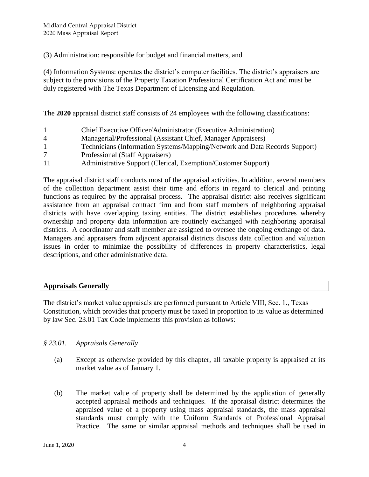(3) Administration: responsible for budget and financial matters, and

(4) Information Systems: operates the district's computer facilities. The district's appraisers are subject to the provisions of the Property Taxation Professional Certification Act and must be duly registered with The Texas Department of Licensing and Regulation.

The **2020** appraisal district staff consists of 24 employees with the following classifications:

- 1 Chief Executive Officer/Administrator (Executive Administration) 4 Managerial/Professional (Assistant Chief, Manager Appraisers)
- 1 Technicians (Information Systems/Mapping/Network and Data Records Support)
- 7 Professional (Staff Appraisers)
- 11 Administrative Support (Clerical, Exemption/Customer Support)

The appraisal district staff conducts most of the appraisal activities. In addition, several members of the collection department assist their time and efforts in regard to clerical and printing functions as required by the appraisal process. The appraisal district also receives significant assistance from an appraisal contract firm and from staff members of neighboring appraisal districts with have overlapping taxing entities. The district establishes procedures whereby ownership and property data information are routinely exchanged with neighboring appraisal districts. A coordinator and staff member are assigned to oversee the ongoing exchange of data. Managers and appraisers from adjacent appraisal districts discuss data collection and valuation issues in order to minimize the possibility of differences in property characteristics, legal descriptions, and other administrative data.

# **Appraisals Generally**

The district's market value appraisals are performed pursuant to Article VIII, Sec. 1., Texas Constitution, which provides that property must be taxed in proportion to its value as determined by law Sec. 23.01 Tax Code implements this provision as follows:

# *§ 23.01. Appraisals Generally*

- (a) Except as otherwise provided by this chapter, all taxable property is appraised at its market value as of January 1.
- (b) The market value of property shall be determined by the application of generally accepted appraisal methods and techniques. If the appraisal district determines the appraised value of a property using mass appraisal standards, the mass appraisal standards must comply with the Uniform Standards of Professional Appraisal Practice. The same or similar appraisal methods and techniques shall be used in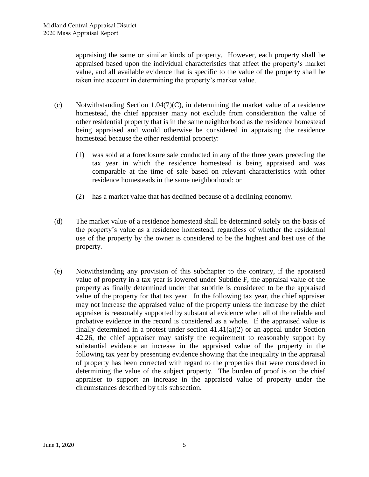appraising the same or similar kinds of property. However, each property shall be appraised based upon the individual characteristics that affect the property's market value, and all available evidence that is specific to the value of the property shall be taken into account in determining the property's market value.

- (c) Notwithstanding Section 1.04(7)(C), in determining the market value of a residence homestead, the chief appraiser many not exclude from consideration the value of other residential property that is in the same neighborhood as the residence homestead being appraised and would otherwise be considered in appraising the residence homestead because the other residential property:
	- (1) was sold at a foreclosure sale conducted in any of the three years preceding the tax year in which the residence homestead is being appraised and was comparable at the time of sale based on relevant characteristics with other residence homesteads in the same neighborhood: or
	- (2) has a market value that has declined because of a declining economy.
- (d) The market value of a residence homestead shall be determined solely on the basis of the property's value as a residence homestead, regardless of whether the residential use of the property by the owner is considered to be the highest and best use of the property.
- (e) Notwithstanding any provision of this subchapter to the contrary, if the appraised value of property in a tax year is lowered under Subtitle F, the appraisal value of the property as finally determined under that subtitle is considered to be the appraised value of the property for that tax year. In the following tax year, the chief appraiser may not increase the appraised value of the property unless the increase by the chief appraiser is reasonably supported by substantial evidence when all of the reliable and probative evidence in the record is considered as a whole. If the appraised value is finally determined in a protest under section  $41.41(a)(2)$  or an appeal under Section 42.26, the chief appraiser may satisfy the requirement to reasonably support by substantial evidence an increase in the appraised value of the property in the following tax year by presenting evidence showing that the inequality in the appraisal of property has been corrected with regard to the properties that were considered in determining the value of the subject property. The burden of proof is on the chief appraiser to support an increase in the appraised value of property under the circumstances described by this subsection.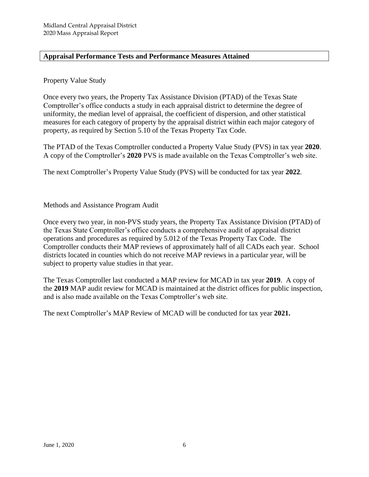# **Appraisal Performance Tests and Performance Measures Attained**

# Property Value Study

Once every two years, the Property Tax Assistance Division (PTAD) of the Texas State Comptroller's office conducts a study in each appraisal district to determine the degree of uniformity, the median level of appraisal, the coefficient of dispersion, and other statistical measures for each category of property by the appraisal district within each major category of property, as required by Section 5.10 of the Texas Property Tax Code.

The PTAD of the Texas Comptroller conducted a Property Value Study (PVS) in tax year **2020**. A copy of the Comptroller's **2020** PVS is made available on the Texas Comptroller's web site.

The next Comptroller's Property Value Study (PVS) will be conducted for tax year **2022**.

Methods and Assistance Program Audit

Once every two year, in non-PVS study years, the Property Tax Assistance Division (PTAD) of the Texas State Comptroller's office conducts a comprehensive audit of appraisal district operations and procedures as required by 5.012 of the Texas Property Tax Code. The Comptroller conducts their MAP reviews of approximately half of all CADs each year. School districts located in counties which do not receive MAP reviews in a particular year, will be subject to property value studies in that year.

The Texas Comptroller last conducted a MAP review for MCAD in tax year **2019**. A copy of the **2019** MAP audit review for MCAD is maintained at the district offices for public inspection, and is also made available on the Texas Comptroller's web site.

The next Comptroller's MAP Review of MCAD will be conducted for tax year **2021.**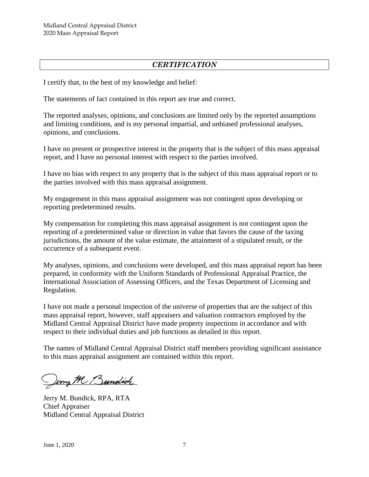# *CERTIFICATION*

I certify that, to the best of my knowledge and belief:

The statements of fact contained in this report are true and correct.

The reported analyses, opinions, and conclusions are limited only by the reported assumptions and limiting conditions, and is my personal impartial, and unbiased professional analyses, opinions, and conclusions.

I have no present or prospective interest in the property that is the subject of this mass appraisal report, and I have no personal interest with respect to the parties involved.

I have no bias with respect to any property that is the subject of this mass appraisal report or to the parties involved with this mass appraisal assignment.

My engagement in this mass appraisal assignment was not contingent upon developing or reporting predetermined results.

My compensation for completing this mass appraisal assignment is not contingent upon the reporting of a predetermined value or direction in value that favors the cause of the taxing jurisdictions, the amount of the value estimate, the attainment of a stipulated result, or the occurrence of a subsequent event.

My analyses, opinions, and conclusions were developed, and this mass appraisal report has been prepared, in conformity with the Uniform Standards of Professional Appraisal Practice, the International Association of Assessing Officers, and the Texas Department of Licensing and Regulation.

I have not made a personal inspection of the universe of properties that are the subject of this mass appraisal report, however, staff appraisers and valuation contractors employed by the Midland Central Appraisal District have made property inspections in accordance and with respect to their individual duties and job functions as detailed in this report.

The names of Midland Central Appraisal District staff members providing significant assistance to this mass appraisal assignment are contained within this report.

Jerry M Bundich

Jerry M. Bundick, RPA, RTA Chief Appraiser Midland Central Appraisal District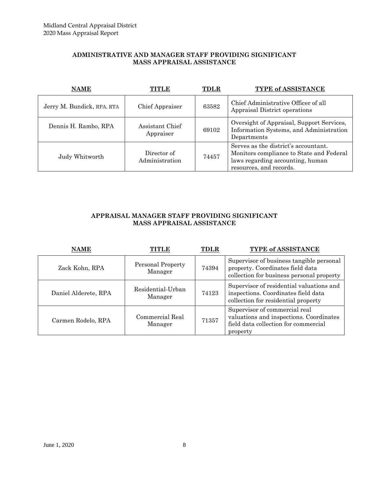#### **ADMINISTRATIVE AND MANAGER STAFF PROVIDING SIGNIFICANT MASS APPRAISAL ASSISTANCE**

| <b>NAME</b>                | NINID                         | <b>TDLR</b> | <b>TYPE of ASSISTANCE</b>                                                                                                                       |
|----------------------------|-------------------------------|-------------|-------------------------------------------------------------------------------------------------------------------------------------------------|
| Jerry M. Bundick, RPA, RTA | Chief Appraiser               | 63582       | Chief Administrative Officer of all<br>Appraisal District operations                                                                            |
| Dennis H. Rambo, RPA       | Assistant Chief<br>Appraiser  | 69102       | Oversight of Appraisal, Support Services,<br>Information Systems, and Administration<br>Departments                                             |
| Judy Whitworth             | Director of<br>Administration | 74457       | Serves as the district's accountant.<br>Monitors compliance to State and Federal<br>laws regarding accounting, human<br>resources, and records. |

#### **APPRAISAL MANAGER STAFF PROVIDING SIGNIFICANT MASS APPRAISAL ASSISTANCE**

| <b>NAME</b>          |                              | <b>TDLR</b> | TYPE of ASSISTANCE                                                                                                           |
|----------------------|------------------------------|-------------|------------------------------------------------------------------------------------------------------------------------------|
| Zack Kohn, RPA       | Personal Property<br>Manager | 74394       | Supervisor of business tangible personal<br>property. Coordinates field data<br>collection for business personal property    |
| Daniel Alderete, RPA | Residential-Urban<br>Manager | 74123       | Supervisor of residential valuations and<br>inspections. Coordinates field data<br>collection for residential property       |
| Carmen Rodelo, RPA   | Commercial Real<br>Manager   | 71357       | Supervisor of commercial real<br>valuations and inspections. Coordinates<br>field data collection for commercial<br>property |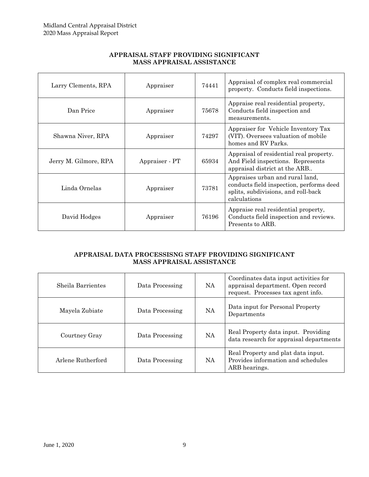| Larry Clements, RPA   | Appraiser      | 74441 | Appraisal of complex real commercial<br>property. Conducts field inspections.                                                      |
|-----------------------|----------------|-------|------------------------------------------------------------------------------------------------------------------------------------|
| Dan Price             | Appraiser      | 75678 | Appraise real residential property,<br>Conducts field inspection and<br>measurements.                                              |
| Shawna Niver, RPA     | Appraiser      | 74297 | Appraiser for Vehicle Inventory Tax<br>(VIT). Oversees valuation of mobile<br>homes and RV Parks.                                  |
| Jerry M. Gilmore, RPA | Appraiser - PT | 65934 | Appraisal of residential real property.<br>And Field inspections. Represents<br>appraisal district at the ARB                      |
| Linda Ornelas         | Appraiser      | 73781 | Appraises urban and rural land,<br>conducts field inspection, performs deed<br>splits, subdivisions, and roll-back<br>calculations |
| David Hodges          | Appraiser      | 76196 | Appraise real residential property,<br>Conducts field inspection and reviews.<br>Presents to ARB.                                  |

#### **APPRAISAL STAFF PROVIDING SIGNIFICANT MASS APPRAISAL ASSISTANCE**

#### **APPRAISAL DATA PROCESSISNG STAFF PROVIDING SIGNIFICANT MASS APPRAISAL ASSISTANCE**

| Sheila Barrientes | Data Processing | <b>NA</b> | Coordinates data input activities for<br>appraisal department. Open record<br>request. Processes tax agent info. |
|-------------------|-----------------|-----------|------------------------------------------------------------------------------------------------------------------|
| Mayela Zubiate    | Data Processing | NA        | Data input for Personal Property<br>Departments                                                                  |
| Courtney Gray     | Data Processing | <b>NA</b> | Real Property data input. Providing<br>data research for appraisal departments                                   |
| Arlene Rutherford | Data Processing | NA.       | Real Property and plat data input.<br>Provides information and schedules<br>ARB hearings.                        |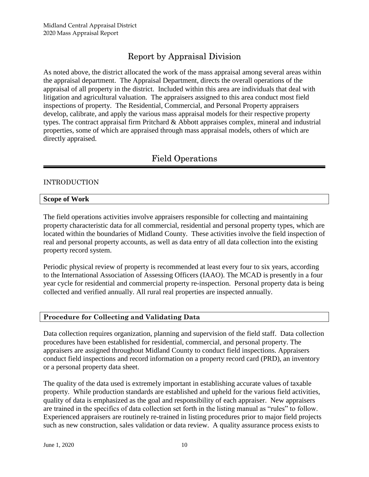# Report by Appraisal Division

As noted above, the district allocated the work of the mass appraisal among several areas within the appraisal department. The Appraisal Department, directs the overall operations of the appraisal of all property in the district. Included within this area are individuals that deal with litigation and agricultural valuation. The appraisers assigned to this area conduct most field inspections of property. The Residential, Commercial, and Personal Property appraisers develop, calibrate, and apply the various mass appraisal models for their respective property types. The contract appraisal firm Pritchard & Abbott appraises complex, mineral and industrial properties, some of which are appraised through mass appraisal models, others of which are directly appraised.

# Field Operations

# INTRODUCTION

#### **Scope of Work**

The field operations activities involve appraisers responsible for collecting and maintaining property characteristic data for all commercial, residential and personal property types, which are located within the boundaries of Midland County. These activities involve the field inspection of real and personal property accounts, as well as data entry of all data collection into the existing property record system.

Periodic physical review of property is recommended at least every four to six years, according to the International Association of Assessing Officers (IAAO). The MCAD is presently in a four year cycle for residential and commercial property re-inspection. Personal property data is being collected and verified annually. All rural real properties are inspected annually.

#### **Procedure for Collecting and Validating Data**

Data collection requires organization, planning and supervision of the field staff. Data collection procedures have been established for residential, commercial, and personal property. The appraisers are assigned throughout Midland County to conduct field inspections. Appraisers conduct field inspections and record information on a property record card (PRD), an inventory or a personal property data sheet.

The quality of the data used is extremely important in establishing accurate values of taxable property. While production standards are established and upheld for the various field activities, quality of data is emphasized as the goal and responsibility of each appraiser. New appraisers are trained in the specifics of data collection set forth in the listing manual as "rules" to follow. Experienced appraisers are routinely re-trained in listing procedures prior to major field projects such as new construction, sales validation or data review. A quality assurance process exists to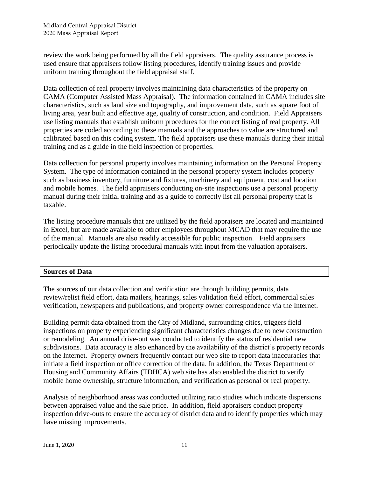review the work being performed by all the field appraisers. The quality assurance process is used ensure that appraisers follow listing procedures, identify training issues and provide uniform training throughout the field appraisal staff.

Data collection of real property involves maintaining data characteristics of the property on CAMA (Computer Assisted Mass Appraisal). The information contained in CAMA includes site characteristics, such as land size and topography, and improvement data, such as square foot of living area, year built and effective age, quality of construction, and condition. Field Appraisers use listing manuals that establish uniform procedures for the correct listing of real property. All properties are coded according to these manuals and the approaches to value are structured and calibrated based on this coding system. The field appraisers use these manuals during their initial training and as a guide in the field inspection of properties.

Data collection for personal property involves maintaining information on the Personal Property System. The type of information contained in the personal property system includes property such as business inventory, furniture and fixtures, machinery and equipment, cost and location and mobile homes. The field appraisers conducting on-site inspections use a personal property manual during their initial training and as a guide to correctly list all personal property that is taxable.

The listing procedure manuals that are utilized by the field appraisers are located and maintained in Excel, but are made available to other employees throughout MCAD that may require the use of the manual. Manuals are also readily accessible for public inspection. Field appraisers periodically update the listing procedural manuals with input from the valuation appraisers.

#### **Sources of Data**

The sources of our data collection and verification are through building permits, data review/relist field effort, data mailers, hearings, sales validation field effort, commercial sales verification, newspapers and publications, and property owner correspondence via the Internet.

Building permit data obtained from the City of Midland, surrounding cities, triggers field inspections on property experiencing significant characteristics changes due to new construction or remodeling. An annual drive-out was conducted to identify the status of residential new subdivisions. Data accuracy is also enhanced by the availability of the district's property records on the Internet. Property owners frequently contact our web site to report data inaccuracies that initiate a field inspection or office correction of the data. In addition, the Texas Department of Housing and Community Affairs (TDHCA) web site has also enabled the district to verify mobile home ownership, structure information, and verification as personal or real property.

Analysis of neighborhood areas was conducted utilizing ratio studies which indicate dispersions between appraised value and the sale price. In addition, field appraisers conduct property inspection drive-outs to ensure the accuracy of district data and to identify properties which may have missing improvements.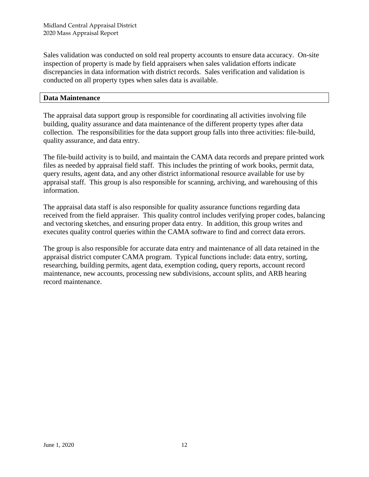Sales validation was conducted on sold real property accounts to ensure data accuracy. On-site inspection of property is made by field appraisers when sales validation efforts indicate discrepancies in data information with district records. Sales verification and validation is conducted on all property types when sales data is available.

#### **Data Maintenance**

The appraisal data support group is responsible for coordinating all activities involving file building, quality assurance and data maintenance of the different property types after data collection. The responsibilities for the data support group falls into three activities: file-build, quality assurance, and data entry.

The file-build activity is to build, and maintain the CAMA data records and prepare printed work files as needed by appraisal field staff. This includes the printing of work books, permit data, query results, agent data, and any other district informational resource available for use by appraisal staff. This group is also responsible for scanning, archiving, and warehousing of this information.

The appraisal data staff is also responsible for quality assurance functions regarding data received from the field appraiser. This quality control includes verifying proper codes, balancing and vectoring sketches, and ensuring proper data entry. In addition, this group writes and executes quality control queries within the CAMA software to find and correct data errors.

The group is also responsible for accurate data entry and maintenance of all data retained in the appraisal district computer CAMA program. Typical functions include: data entry, sorting, researching, building permits, agent data, exemption coding, query reports, account record maintenance, new accounts, processing new subdivisions, account splits, and ARB hearing record maintenance.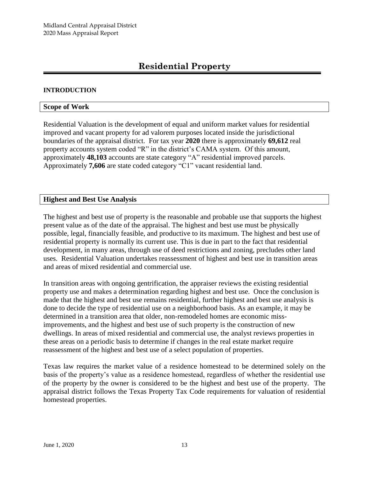# **Residential Property**

#### **INTRODUCTION**

#### **Scope of Work**

Residential Valuation is the development of equal and uniform market values for residential improved and vacant property for ad valorem purposes located inside the jurisdictional boundaries of the appraisal district. For tax year **2020** there is approximately **69,612** real property accounts system coded "R" in the district's CAMA system. Of this amount, approximately **48,103** accounts are state category "A" residential improved parcels. Approximately **7,606** are state coded category "C1" vacant residential land.

#### **Highest and Best Use Analysis**

The highest and best use of property is the reasonable and probable use that supports the highest present value as of the date of the appraisal. The highest and best use must be physically possible, legal, financially feasible, and productive to its maximum. The highest and best use of residential property is normally its current use. This is due in part to the fact that residential development, in many areas, through use of deed restrictions and zoning, precludes other land uses. Residential Valuation undertakes reassessment of highest and best use in transition areas and areas of mixed residential and commercial use.

In transition areas with ongoing gentrification, the appraiser reviews the existing residential property use and makes a determination regarding highest and best use. Once the conclusion is made that the highest and best use remains residential, further highest and best use analysis is done to decide the type of residential use on a neighborhood basis. As an example, it may be determined in a transition area that older, non-remodeled homes are economic missimprovements, and the highest and best use of such property is the construction of new dwellings. In areas of mixed residential and commercial use, the analyst reviews properties in these areas on a periodic basis to determine if changes in the real estate market require reassessment of the highest and best use of a select population of properties.

Texas law requires the market value of a residence homestead to be determined solely on the basis of the property's value as a residence homestead, regardless of whether the residential use of the property by the owner is considered to be the highest and best use of the property. The appraisal district follows the Texas Property Tax Code requirements for valuation of residential homestead properties.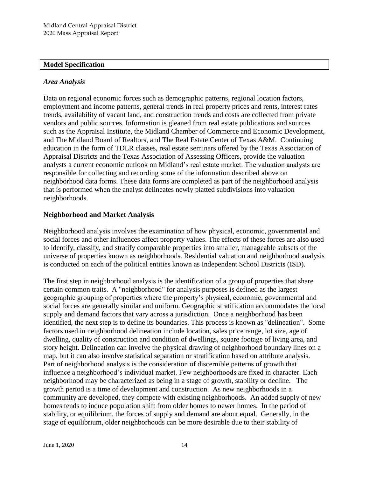#### **Model Specification**

# *Area Analysis*

Data on regional economic forces such as demographic patterns, regional location factors, employment and income patterns, general trends in real property prices and rents, interest rates trends, availability of vacant land, and construction trends and costs are collected from private vendors and public sources. Information is gleaned from real estate publications and sources such as the Appraisal Institute, the Midland Chamber of Commerce and Economic Development, and The Midland Board of Realtors, and The Real Estate Center of Texas A&M. Continuing education in the form of TDLR classes, real estate seminars offered by the Texas Association of Appraisal Districts and the Texas Association of Assessing Officers, provide the valuation analysts a current economic outlook on Midland's real estate market. The valuation analysts are responsible for collecting and recording some of the information described above on neighborhood data forms. These data forms are completed as part of the neighborhood analysis that is performed when the analyst delineates newly platted subdivisions into valuation neighborhoods.

# **Neighborhood and Market Analysis**

Neighborhood analysis involves the examination of how physical, economic, governmental and social forces and other influences affect property values. The effects of these forces are also used to identify, classify, and stratify comparable properties into smaller, manageable subsets of the universe of properties known as neighborhoods. Residential valuation and neighborhood analysis is conducted on each of the political entities known as Independent School Districts (ISD).

The first step in neighborhood analysis is the identification of a group of properties that share certain common traits. A "neighborhood" for analysis purposes is defined as the largest geographic grouping of properties where the property's physical, economic, governmental and social forces are generally similar and uniform. Geographic stratification accommodates the local supply and demand factors that vary across a jurisdiction. Once a neighborhood has been identified, the next step is to define its boundaries. This process is known as "delineation". Some factors used in neighborhood delineation include location, sales price range, lot size, age of dwelling, quality of construction and condition of dwellings, square footage of living area, and story height. Delineation can involve the physical drawing of neighborhood boundary lines on a map, but it can also involve statistical separation or stratification based on attribute analysis. Part of neighborhood analysis is the consideration of discernible patterns of growth that influence a neighborhood's individual market. Few neighborhoods are fixed in character. Each neighborhood may be characterized as being in a stage of growth, stability or decline. The growth period is a time of development and construction. As new neighborhoods in a community are developed, they compete with existing neighborhoods. An added supply of new homes tends to induce population shift from older homes to newer homes. In the period of stability, or equilibrium, the forces of supply and demand are about equal. Generally, in the stage of equilibrium, older neighborhoods can be more desirable due to their stability of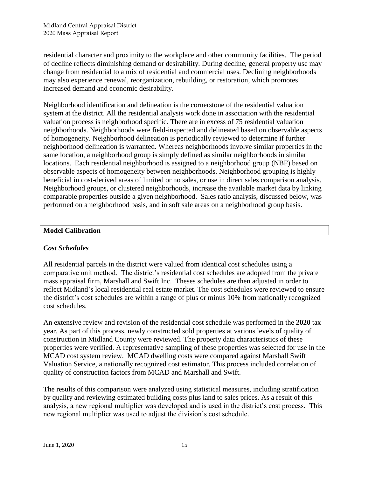residential character and proximity to the workplace and other community facilities. The period of decline reflects diminishing demand or desirability. During decline, general property use may change from residential to a mix of residential and commercial uses. Declining neighborhoods may also experience renewal, reorganization, rebuilding, or restoration, which promotes increased demand and economic desirability.

Neighborhood identification and delineation is the cornerstone of the residential valuation system at the district. All the residential analysis work done in association with the residential valuation process is neighborhood specific. There are in excess of 75 residential valuation neighborhoods. Neighborhoods were field-inspected and delineated based on observable aspects of homogeneity. Neighborhood delineation is periodically reviewed to determine if further neighborhood delineation is warranted. Whereas neighborhoods involve similar properties in the same location, a neighborhood group is simply defined as similar neighborhoods in similar locations. Each residential neighborhood is assigned to a neighborhood group (NBF) based on observable aspects of homogeneity between neighborhoods. Neighborhood grouping is highly beneficial in cost-derived areas of limited or no sales, or use in direct sales comparison analysis. Neighborhood groups, or clustered neighborhoods, increase the available market data by linking comparable properties outside a given neighborhood. Sales ratio analysis, discussed below, was performed on a neighborhood basis, and in soft sale areas on a neighborhood group basis.

# **Model Calibration**

# *Cost Schedules*

All residential parcels in the district were valued from identical cost schedules using a comparative unit method. The district's residential cost schedules are adopted from the private mass appraisal firm, Marshall and Swift Inc. Theses schedules are then adjusted in order to reflect Midland's local residential real estate market. The cost schedules were reviewed to ensure the district's cost schedules are within a range of plus or minus 10% from nationally recognized cost schedules.

An extensive review and revision of the residential cost schedule was performed in the **2020** tax year. As part of this process, newly constructed sold properties at various levels of quality of construction in Midland County were reviewed. The property data characteristics of these properties were verified. A representative sampling of these properties was selected for use in the MCAD cost system review. MCAD dwelling costs were compared against Marshall Swift Valuation Service, a nationally recognized cost estimator. This process included correlation of quality of construction factors from MCAD and Marshall and Swift.

The results of this comparison were analyzed using statistical measures, including stratification by quality and reviewing estimated building costs plus land to sales prices. As a result of this analysis, a new regional multiplier was developed and is used in the district's cost process. This new regional multiplier was used to adjust the division's cost schedule.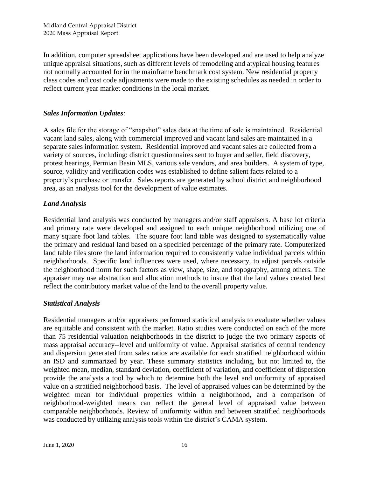In addition, computer spreadsheet applications have been developed and are used to help analyze unique appraisal situations, such as different levels of remodeling and atypical housing features not normally accounted for in the mainframe benchmark cost system. New residential property class codes and cost code adjustments were made to the existing schedules as needed in order to reflect current year market conditions in the local market.

# *Sales Information Updates:*

A sales file for the storage of "snapshot" sales data at the time of sale is maintained. Residential vacant land sales, along with commercial improved and vacant land sales are maintained in a separate sales information system. Residential improved and vacant sales are collected from a variety of sources, including: district questionnaires sent to buyer and seller, field discovery, protest hearings, Permian Basin MLS, various sale vendors, and area builders. A system of type, source, validity and verification codes was established to define salient facts related to a property's purchase or transfer. Sales reports are generated by school district and neighborhood area, as an analysis tool for the development of value estimates.

# *Land Analysis*

Residential land analysis was conducted by managers and/or staff appraisers. A base lot criteria and primary rate were developed and assigned to each unique neighborhood utilizing one of many square foot land tables. The square foot land table was designed to systematically value the primary and residual land based on a specified percentage of the primary rate. Computerized land table files store the land information required to consistently value individual parcels within neighborhoods. Specific land influences were used, where necessary, to adjust parcels outside the neighborhood norm for such factors as view, shape, size, and topography, among others. The appraiser may use abstraction and allocation methods to insure that the land values created best reflect the contributory market value of the land to the overall property value.

# *Statistical Analysis*

Residential managers and/or appraisers performed statistical analysis to evaluate whether values are equitable and consistent with the market. Ratio studies were conducted on each of the more than 75 residential valuation neighborhoods in the district to judge the two primary aspects of mass appraisal accuracy--level and uniformity of value. Appraisal statistics of central tendency and dispersion generated from sales ratios are available for each stratified neighborhood within an ISD and summarized by year. These summary statistics including, but not limited to, the weighted mean, median, standard deviation, coefficient of variation, and coefficient of dispersion provide the analysts a tool by which to determine both the level and uniformity of appraised value on a stratified neighborhood basis. The level of appraised values can be determined by the weighted mean for individual properties within a neighborhood, and a comparison of neighborhood-weighted means can reflect the general level of appraised value between comparable neighborhoods. Review of uniformity within and between stratified neighborhoods was conducted by utilizing analysis tools within the district's CAMA system.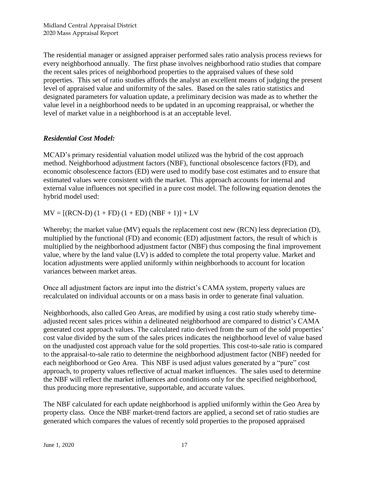The residential manager or assigned appraiser performed sales ratio analysis process reviews for every neighborhood annually. The first phase involves neighborhood ratio studies that compare the recent sales prices of neighborhood properties to the appraised values of these sold properties. This set of ratio studies affords the analyst an excellent means of judging the present level of appraised value and uniformity of the sales. Based on the sales ratio statistics and designated parameters for valuation update, a preliminary decision was made as to whether the value level in a neighborhood needs to be updated in an upcoming reappraisal, or whether the level of market value in a neighborhood is at an acceptable level.

# *Residential Cost Model:*

MCAD's primary residential valuation model utilized was the hybrid of the cost approach method. Neighborhood adjustment factors (NBF), functional obsolescence factors (FD), and economic obsolescence factors (ED) were used to modify base cost estimates and to ensure that estimated values were consistent with the market. This approach accounts for internal and external value influences not specified in a pure cost model. The following equation denotes the hybrid model used:

 $MV = [(RCN-D) (1 + FD) (1 + ED) (NBF + 1)] + LV$ 

Whereby; the market value (MV) equals the replacement cost new (RCN) less depreciation (D), multiplied by the functional (FD) and economic (ED) adjustment factors, the result of which is multiplied by the neighborhood adjustment factor (NBF) thus composing the final improvement value, where by the land value (LV) is added to complete the total property value. Market and location adjustments were applied uniformly within neighborhoods to account for location variances between market areas.

Once all adjustment factors are input into the district's CAMA system, property values are recalculated on individual accounts or on a mass basis in order to generate final valuation.

Neighborhoods, also called Geo Areas, are modified by using a cost ratio study whereby timeadjusted recent sales prices within a delineated neighborhood are compared to district's CAMA generated cost approach values. The calculated ratio derived from the sum of the sold properties' cost value divided by the sum of the sales prices indicates the neighborhood level of value based on the unadjusted cost approach value for the sold properties. This cost-to-sale ratio is compared to the appraisal-to-sale ratio to determine the neighborhood adjustment factor (NBF) needed for each neighborhood or Geo Area. This NBF is used adjust values generated by a "pure" cost approach, to property values reflective of actual market influences. The sales used to determine the NBF will reflect the market influences and conditions only for the specified neighborhood, thus producing more representative, supportable, and accurate values.

The NBF calculated for each update neighborhood is applied uniformly within the Geo Area by property class. Once the NBF market-trend factors are applied, a second set of ratio studies are generated which compares the values of recently sold properties to the proposed appraised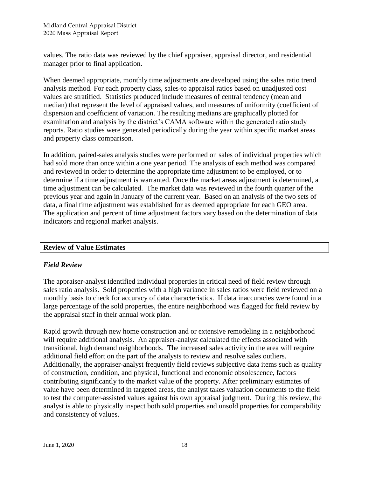values. The ratio data was reviewed by the chief appraiser, appraisal director, and residential manager prior to final application.

When deemed appropriate, monthly time adjustments are developed using the sales ratio trend analysis method. For each property class, sales-to appraisal ratios based on unadjusted cost values are stratified. Statistics produced include measures of central tendency (mean and median) that represent the level of appraised values, and measures of uniformity (coefficient of dispersion and coefficient of variation. The resulting medians are graphically plotted for examination and analysis by the district's CAMA software within the generated ratio study reports. Ratio studies were generated periodically during the year within specific market areas and property class comparison.

In addition, paired-sales analysis studies were performed on sales of individual properties which had sold more than once within a one year period. The analysis of each method was compared and reviewed in order to determine the appropriate time adjustment to be employed, or to determine if a time adjustment is warranted. Once the market areas adjustment is determined, a time adjustment can be calculated. The market data was reviewed in the fourth quarter of the previous year and again in January of the current year. Based on an analysis of the two sets of data, a final time adjustment was established for as deemed appropriate for each GEO area. The application and percent of time adjustment factors vary based on the determination of data indicators and regional market analysis.

# **Review of Value Estimates**

#### *Field Review*

The appraiser-analyst identified individual properties in critical need of field review through sales ratio analysis. Sold properties with a high variance in sales ratios were field reviewed on a monthly basis to check for accuracy of data characteristics. If data inaccuracies were found in a large percentage of the sold properties, the entire neighborhood was flagged for field review by the appraisal staff in their annual work plan.

Rapid growth through new home construction and or extensive remodeling in a neighborhood will require additional analysis. An appraiser-analyst calculated the effects associated with transitional, high demand neighborhoods. The increased sales activity in the area will require additional field effort on the part of the analysts to review and resolve sales outliers. Additionally, the appraiser-analyst frequently field reviews subjective data items such as quality of construction, condition, and physical, functional and economic obsolescence, factors contributing significantly to the market value of the property. After preliminary estimates of value have been determined in targeted areas, the analyst takes valuation documents to the field to test the computer-assisted values against his own appraisal judgment. During this review, the analyst is able to physically inspect both sold properties and unsold properties for comparability and consistency of values.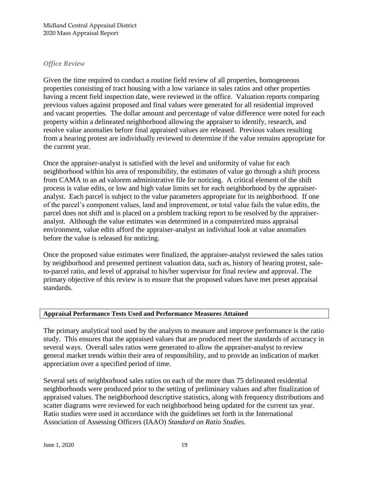### *Office Review*

Given the time required to conduct a routine field review of all properties, homogeneous properties consisting of tract housing with a low variance in sales ratios and other properties having a recent field inspection date, were reviewed in the office. Valuation reports comparing previous values against proposed and final values were generated for all residential improved and vacant properties. The dollar amount and percentage of value difference were noted for each property within a delineated neighborhood allowing the appraiser to identify, research, and resolve value anomalies before final appraised values are released. Previous values resulting from a hearing protest are individually reviewed to determine if the value remains appropriate for the current year.

Once the appraiser-analyst is satisfied with the level and uniformity of value for each neighborhood within his area of responsibility, the estimates of value go through a shift process from CAMA to an ad valorem administrative file for noticing. A critical element of the shift process is value edits, or low and high value limits set for each neighborhood by the appraiseranalyst. Each parcel is subject to the value parameters appropriate for its neighborhood. If one of the parcel's component values, land and improvement, or total value fails the value edits, the parcel does not shift and is placed on a problem tracking report to be resolved by the appraiseranalyst. Although the value estimates was determined in a computerized mass appraisal environment, value edits afford the appraiser-analyst an individual look at value anomalies before the value is released for noticing.

Once the proposed value estimates were finalized, the appraiser-analyst reviewed the sales ratios by neighborhood and presented pertinent valuation data, such as, history of hearing protest, saleto-parcel ratio, and level of appraisal to his/her supervisor for final review and approval. The primary objective of this review is to ensure that the proposed values have met preset appraisal standards.

#### **Appraisal Performance Tests Used and Performance Measures Attained**

The primary analytical tool used by the analysts to measure and improve performance is the ratio study. This ensures that the appraised values that are produced meet the standards of accuracy in several ways. Overall sales ratios were generated to allow the appraiser-analyst to review general market trends within their area of responsibility, and to provide an indication of market appreciation over a specified period of time.

Several sets of neighborhood sales ratios on each of the more than 75 delineated residential neighborhoods were produced prior to the setting of preliminary values and after finalization of appraised values. The neighborhood descriptive statistics, along with frequency distributions and scatter diagrams were reviewed for each neighborhood being updated for the current tax year. Ratio studies were used in accordance with the guidelines set forth in the International Association of Assessing Officers (IAAO) *Standard on Ratio Studies*.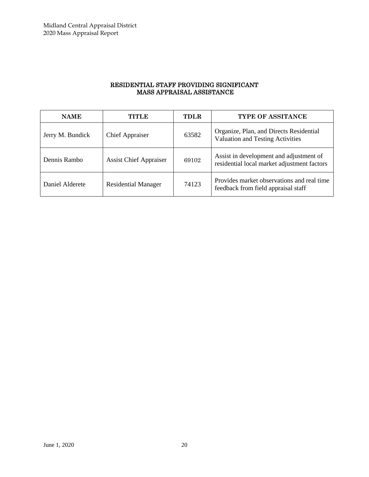#### RESIDENTIAL STAFF PROVIDING SIGNIFICANT MASS APPRAISAL ASSISTANCE

| <b>NAME</b>      | TITLE                         | <b>TDLR</b> | <b>TYPE OF ASSITANCE</b>                                                               |
|------------------|-------------------------------|-------------|----------------------------------------------------------------------------------------|
| Jerry M. Bundick | <b>Chief Appraiser</b>        | 63582       | Organize, Plan, and Directs Residential<br><b>Valuation and Testing Activities</b>     |
| Dennis Rambo     | <b>Assist Chief Appraiser</b> | 69102       | Assist in development and adjustment of<br>residential local market adjustment factors |
| Daniel Alderete  | <b>Residential Manager</b>    | 74123       | Provides market observations and real time<br>feedback from field appraisal staff      |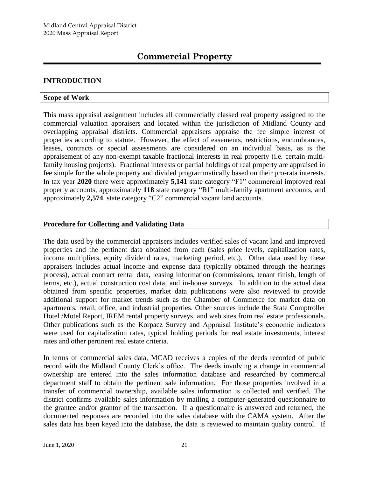# **INTRODUCTION**

### **Scope of Work**

This mass appraisal assignment includes all commercially classed real property assigned to the commercial valuation appraisers and located within the jurisdiction of Midland County and overlapping appraisal districts. Commercial appraisers appraise the fee simple interest of properties according to statute. However, the effect of easements, restrictions, encumbrances, leases, contracts or special assessments are considered on an individual basis, as is the appraisement of any non-exempt taxable fractional interests in real property (i.e. certain multifamily housing projects). Fractional interests or partial holdings of real property are appraised in fee simple for the whole property and divided programmatically based on their pro-rata interests. In tax year **2020** there were approximately **5,141** state category "F1" commercial improved real property accounts, approximately **118** state category "B1" multi-family apartment accounts, and approximately **2,574** state category "C2" commercial vacant land accounts.

# **Procedure for Collecting and Validating Data**

The data used by the commercial appraisers includes verified sales of vacant land and improved properties and the pertinent data obtained from each (sales price levels, capitalization rates, income multipliers, equity dividend rates, marketing period, etc.). Other data used by these appraisers includes actual income and expense data (typically obtained through the hearings process), actual contract rental data, leasing information (commissions, tenant finish, length of terms, etc.), actual construction cost data, and in-house surveys. In addition to the actual data obtained from specific properties, market data publications were also reviewed to provide additional support for market trends such as the Chamber of Commerce for market data on apartments, retail, office, and industrial properties. Other sources include the State Comptroller Hotel /Motel Report, IREM rental property surveys, and web sites from real estate professionals. Other publications such as the Korpacz Survey and Appraisal Institute's economic indicators were used for capitalization rates, typical holding periods for real estate investments, interest rates and other pertinent real estate criteria.

In terms of commercial sales data, MCAD receives a copies of the deeds recorded of public record with the Midland County Clerk's office. The deeds involving a change in commercial ownership are entered into the sales information database and researched by commercial department staff to obtain the pertinent sale information. For those properties involved in a transfer of commercial ownership, available sales information is collected and verified. The district confirms available sales information by mailing a computer-generated questionnaire to the grantee and/or grantor of the transaction. If a questionnaire is answered and returned, the documented responses are recorded into the sales database with the CAMA system. After the sales data has been keyed into the database, the data is reviewed to maintain quality control. If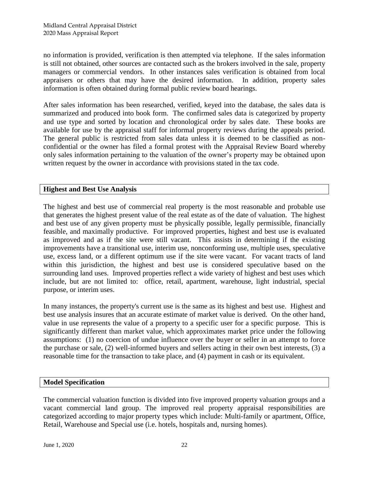no information is provided, verification is then attempted via telephone. If the sales information is still not obtained, other sources are contacted such as the brokers involved in the sale, property managers or commercial vendors. In other instances sales verification is obtained from local appraisers or others that may have the desired information. In addition, property sales information is often obtained during formal public review board hearings.

After sales information has been researched, verified, keyed into the database, the sales data is summarized and produced into book form. The confirmed sales data is categorized by property and use type and sorted by location and chronological order by sales date. These books are available for use by the appraisal staff for informal property reviews during the appeals period. The general public is restricted from sales data unless it is deemed to be classified as nonconfidential or the owner has filed a formal protest with the Appraisal Review Board whereby only sales information pertaining to the valuation of the owner's property may be obtained upon written request by the owner in accordance with provisions stated in the tax code.

# **Highest and Best Use Analysis**

The highest and best use of commercial real property is the most reasonable and probable use that generates the highest present value of the real estate as of the date of valuation. The highest and best use of any given property must be physically possible, legally permissible, financially feasible, and maximally productive. For improved properties, highest and best use is evaluated as improved and as if the site were still vacant. This assists in determining if the existing improvements have a transitional use, interim use, nonconforming use, multiple uses, speculative use, excess land, or a different optimum use if the site were vacant. For vacant tracts of land within this jurisdiction, the highest and best use is considered speculative based on the surrounding land uses. Improved properties reflect a wide variety of highest and best uses which include, but are not limited to: office, retail, apartment, warehouse, light industrial, special purpose, or interim uses.

In many instances, the property's current use is the same as its highest and best use. Highest and best use analysis insures that an accurate estimate of market value is derived. On the other hand, value in use represents the value of a property to a specific user for a specific purpose. This is significantly different than market value, which approximates market price under the following assumptions: (1) no coercion of undue influence over the buyer or seller in an attempt to force the purchase or sale, (2) well-informed buyers and sellers acting in their own best interests, (3) a reasonable time for the transaction to take place, and (4) payment in cash or its equivalent.

#### **Model Specification**

The commercial valuation function is divided into five improved property valuation groups and a vacant commercial land group. The improved real property appraisal responsibilities are categorized according to major property types which include: Multi-family or apartment, Office, Retail, Warehouse and Special use (i.e. hotels, hospitals and, nursing homes).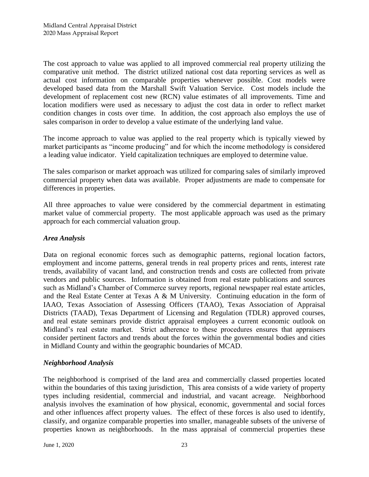The cost approach to value was applied to all improved commercial real property utilizing the comparative unit method. The district utilized national cost data reporting services as well as actual cost information on comparable properties whenever possible. Cost models were developed based data from the Marshall Swift Valuation Service. Cost models include the development of replacement cost new (RCN) value estimates of all improvements. Time and location modifiers were used as necessary to adjust the cost data in order to reflect market condition changes in costs over time. In addition, the cost approach also employs the use of sales comparison in order to develop a value estimate of the underlying land value.

The income approach to value was applied to the real property which is typically viewed by market participants as "income producing" and for which the income methodology is considered a leading value indicator. Yield capitalization techniques are employed to determine value.

The sales comparison or market approach was utilized for comparing sales of similarly improved commercial property when data was available. Proper adjustments are made to compensate for differences in properties.

All three approaches to value were considered by the commercial department in estimating market value of commercial property. The most applicable approach was used as the primary approach for each commercial valuation group.

# *Area Analysis*

Data on regional economic forces such as demographic patterns, regional location factors, employment and income patterns, general trends in real property prices and rents, interest rate trends, availability of vacant land, and construction trends and costs are collected from private vendors and public sources. Information is obtained from real estate publications and sources such as Midland's Chamber of Commerce survey reports, regional newspaper real estate articles, and the Real Estate Center at Texas A & M University. Continuing education in the form of IAAO, Texas Association of Assessing Officers (TAAO), Texas Association of Appraisal Districts (TAAD), Texas Department of Licensing and Regulation (TDLR) approved courses, and real estate seminars provide district appraisal employees a current economic outlook on Midland's real estate market. Strict adherence to these procedures ensures that appraisers consider pertinent factors and trends about the forces within the governmental bodies and cities in Midland County and within the geographic boundaries of MCAD.

#### *Neighborhood Analysis*

The neighborhood is comprised of the land area and commercially classed properties located within the boundaries of this taxing jurisdiction. This area consists of a wide variety of property types including residential, commercial and industrial, and vacant acreage. Neighborhood analysis involves the examination of how physical, economic, governmental and social forces and other influences affect property values. The effect of these forces is also used to identify, classify, and organize comparable properties into smaller, manageable subsets of the universe of properties known as neighborhoods. In the mass appraisal of commercial properties these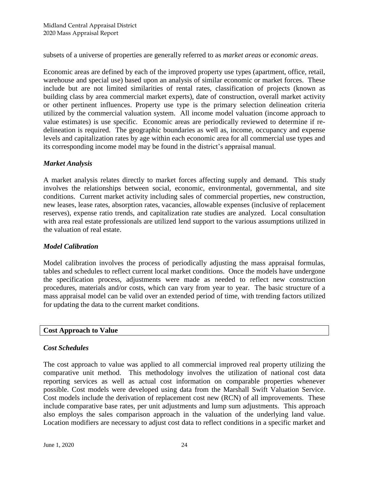subsets of a universe of properties are generally referred to as *market areas* or *economic areas*.

Economic areas are defined by each of the improved property use types (apartment, office, retail, warehouse and special use) based upon an analysis of similar economic or market forces. These include but are not limited similarities of rental rates, classification of projects (known as building class by area commercial market experts), date of construction, overall market activity or other pertinent influences. Property use type is the primary selection delineation criteria utilized by the commercial valuation system. All income model valuation (income approach to value estimates) is use specific. Economic areas are periodically reviewed to determine if redelineation is required. The geographic boundaries as well as, income, occupancy and expense levels and capitalization rates by age within each economic area for all commercial use types and its corresponding income model may be found in the district's appraisal manual.

# *Market Analysis*

A market analysis relates directly to market forces affecting supply and demand. This study involves the relationships between social, economic, environmental, governmental, and site conditions. Current market activity including sales of commercial properties, new construction, new leases, lease rates, absorption rates, vacancies, allowable expenses (inclusive of replacement reserves), expense ratio trends, and capitalization rate studies are analyzed. Local consultation with area real estate professionals are utilized lend support to the various assumptions utilized in the valuation of real estate.

#### *Model Calibration*

Model calibration involves the process of periodically adjusting the mass appraisal formulas, tables and schedules to reflect current local market conditions. Once the models have undergone the specification process, adjustments were made as needed to reflect new construction procedures, materials and/or costs, which can vary from year to year. The basic structure of a mass appraisal model can be valid over an extended period of time, with trending factors utilized for updating the data to the current market conditions.

#### **Cost Approach to Value**

# *Cost Schedules*

The cost approach to value was applied to all commercial improved real property utilizing the comparative unit method. This methodology involves the utilization of national cost data reporting services as well as actual cost information on comparable properties whenever possible. Cost models were developed using data from the Marshall Swift Valuation Service. Cost models include the derivation of replacement cost new (RCN) of all improvements. These include comparative base rates, per unit adjustments and lump sum adjustments. This approach also employs the sales comparison approach in the valuation of the underlying land value. Location modifiers are necessary to adjust cost data to reflect conditions in a specific market and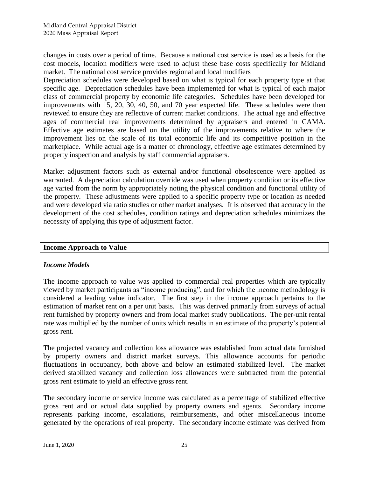changes in costs over a period of time. Because a national cost service is used as a basis for the cost models, location modifiers were used to adjust these base costs specifically for Midland market. The national cost service provides regional and local modifiers

Depreciation schedules were developed based on what is typical for each property type at that specific age. Depreciation schedules have been implemented for what is typical of each major class of commercial property by economic life categories. Schedules have been developed for improvements with 15, 20, 30, 40, 50, and 70 year expected life. These schedules were then reviewed to ensure they are reflective of current market conditions. The actual age and effective ages of commercial real improvements determined by appraisers and entered in CAMA. Effective age estimates are based on the utility of the improvements relative to where the improvement lies on the scale of its total economic life and its competitive position in the marketplace. While actual age is a matter of chronology, effective age estimates determined by property inspection and analysis by staff commercial appraisers.

Market adjustment factors such as external and/or functional obsolescence were applied as warranted. A depreciation calculation override was used when property condition or its effective age varied from the norm by appropriately noting the physical condition and functional utility of the property. These adjustments were applied to a specific property type or location as needed and were developed via ratio studies or other market analyses. It is observed that accuracy in the development of the cost schedules, condition ratings and depreciation schedules minimizes the necessity of applying this type of adjustment factor.

# **Income Approach to Value**

#### *Income Models*

The income approach to value was applied to commercial real properties which are typically viewed by market participants as "income producing", and for which the income methodology is considered a leading value indicator. The first step in the income approach pertains to the estimation of market rent on a per unit basis. This was derived primarily from surveys of actual rent furnished by property owners and from local market study publications. The per-unit rental rate was multiplied by the number of units which results in an estimate of the property's potential gross rent.

The projected vacancy and collection loss allowance was established from actual data furnished by property owners and district market surveys. This allowance accounts for periodic fluctuations in occupancy, both above and below an estimated stabilized level. The market derived stabilized vacancy and collection loss allowances were subtracted from the potential gross rent estimate to yield an effective gross rent.

The secondary income or service income was calculated as a percentage of stabilized effective gross rent and or actual data supplied by property owners and agents. Secondary income represents parking income, escalations, reimbursements, and other miscellaneous income generated by the operations of real property. The secondary income estimate was derived from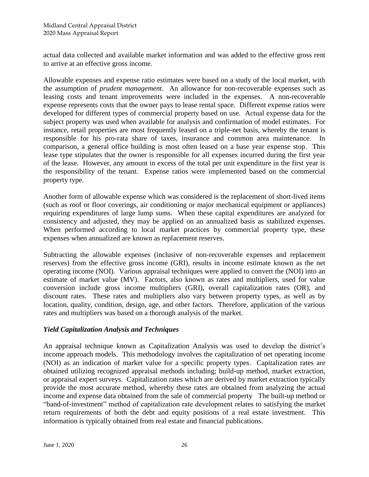actual data collected and available market information and was added to the effective gross rent to arrive at an effective gross income.

Allowable expenses and expense ratio estimates were based on a study of the local market, with the assumption of *prudent management*. An allowance for non-recoverable expenses such as leasing costs and tenant improvements were included in the expenses. A non-recoverable expense represents costs that the owner pays to lease rental space. Different expense ratios were developed for different types of commercial property based on use. Actual expense data for the subject property was used when available for analysis and confirmation of model estimates. For instance, retail properties are most frequently leased on a triple-net basis, whereby the tenant is responsible for his pro-rata share of taxes, insurance and common area maintenance. In comparison, a general office building is most often leased on a base year expense stop. This lease type stipulates that the owner is responsible for all expenses incurred during the first year of the lease. However, any amount in excess of the total per unit expenditure in the first year is the responsibility of the tenant. Expense ratios were implemented based on the commercial property type.

Another form of allowable expense which was considered is the replacement of short-lived items (such as roof or floor coverings, air conditioning or major mechanical equipment or appliances) requiring expenditures of large lump sums. When these capital expenditures are analyzed for consistency and adjusted, they may be applied on an annualized basis as stabilized expenses. When performed according to local market practices by commercial property type, these expenses when annualized are known as replacement reserves.

Subtracting the allowable expenses (inclusive of non-recoverable expenses and replacement reserves) from the effective gross income (GRI), results in income estimate known as the net operating income (NOI). Various appraisal techniques were applied to convert the (NOI) into an estimate of market value (MV). Factors, also known as rates and multipliers, used for value conversion include gross income multipliers (GRI), overall capitalization rates (OR), and discount rates. These rates and multipliers also vary between property types, as well as by location, quality, condition, design, age, and other factors. Therefore, application of the various rates and multipliers was based on a thorough analysis of the market.

# *Yield Capitalization Analysis and Techniques*

An appraisal technique known as Capitalization Analysis was used to develop the district's income approach models. This methodology involves the capitalization of net operating income (NOI) as an indication of market value for a specific property types. Capitalization rates are obtained utilizing recognized appraisal methods including; build-up method, market extraction, or appraisal expert surveys. Capitalization rates which are derived by market extraction typically provide the most accurate method, whereby these rates are obtained from analyzing the actual income and expense data obtained from the sale of commercial property The built-up method or "band-of-investment" method of capitalization rate development relates to satisfying the market return requirements of both the debt and equity positions of a real estate investment. This information is typically obtained from real estate and financial publications.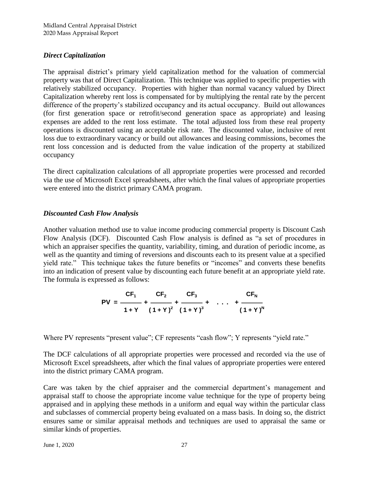# *Direct Capitalization*

The appraisal district's primary yield capitalization method for the valuation of commercial property was that of Direct Capitalization. This technique was applied to specific properties with relatively stabilized occupancy. Properties with higher than normal vacancy valued by Direct Capitalization whereby rent loss is compensated for by multiplying the rental rate by the percent difference of the property's stabilized occupancy and its actual occupancy. Build out allowances (for first generation space or retrofit/second generation space as appropriate) and leasing expenses are added to the rent loss estimate. The total adjusted loss from these real property operations is discounted using an acceptable risk rate. The discounted value, inclusive of rent loss due to extraordinary vacancy or build out allowances and leasing commissions, becomes the rent loss concession and is deducted from the value indication of the property at stabilized occupancy

The direct capitalization calculations of all appropriate properties were processed and recorded via the use of Microsoft Excel spreadsheets, after which the final values of appropriate properties were entered into the district primary CAMA program.

# *Discounted Cash Flow Analysis*

Another valuation method use to value income producing commercial property is Discount Cash Flow Analysis (DCF). Discounted Cash Flow analysis is defined as "a set of procedures in which an appraiser specifies the quantity, variability, timing, and duration of periodic income, as well as the quantity and timing of reversions and discounts each to its present value at a specified yield rate." This technique takes the future benefits or "incomes" and converts these benefits into an indication of present value by discounting each future benefit at an appropriate yield rate. The formula is expressed as follows:

PV = 
$$
\frac{CF_1}{1+Y} + \frac{CF_2}{(1+Y)^2} + \frac{CF_3}{(1+Y)^3} + \dots + \frac{CF_N}{(1+Y)^N}
$$

Where PV represents "present value"; CF represents "cash flow"; Y represents "yield rate."

The DCF calculations of all appropriate properties were processed and recorded via the use of Microsoft Excel spreadsheets, after which the final values of appropriate properties were entered into the district primary CAMA program.

Care was taken by the chief appraiser and the commercial department's management and appraisal staff to choose the appropriate income value technique for the type of property being appraised and in applying these methods in a uniform and equal way within the particular class and subclasses of commercial property being evaluated on a mass basis. In doing so, the district ensures same or similar appraisal methods and techniques are used to appraisal the same or similar kinds of properties.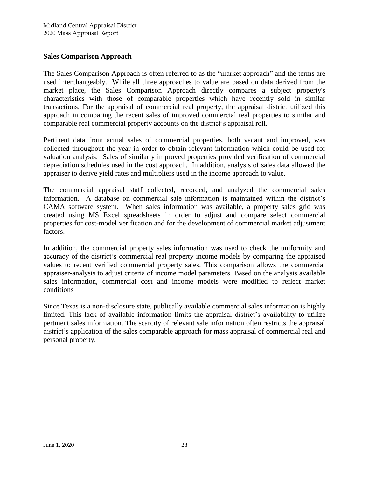# **Sales Comparison Approach**

The Sales Comparison Approach is often referred to as the "market approach" and the terms are used interchangeably. While all three approaches to value are based on data derived from the market place, the Sales Comparison Approach directly compares a subject property's characteristics with those of comparable properties which have recently sold in similar transactions. For the appraisal of commercial real property, the appraisal district utilized this approach in comparing the recent sales of improved commercial real properties to similar and comparable real commercial property accounts on the district's appraisal roll.

Pertinent data from actual sales of commercial properties, both vacant and improved, was collected throughout the year in order to obtain relevant information which could be used for valuation analysis. Sales of similarly improved properties provided verification of commercial depreciation schedules used in the cost approach. In addition, analysis of sales data allowed the appraiser to derive yield rates and multipliers used in the income approach to value.

The commercial appraisal staff collected, recorded, and analyzed the commercial sales information. A database on commercial sale information is maintained within the district's CAMA software system. When sales information was available, a property sales grid was created using MS Excel spreadsheets in order to adjust and compare select commercial properties for cost-model verification and for the development of commercial market adjustment factors.

In addition, the commercial property sales information was used to check the uniformity and accuracy of the district's commercial real property income models by comparing the appraised values to recent verified commercial property sales. This comparison allows the commercial appraiser-analysis to adjust criteria of income model parameters. Based on the analysis available sales information, commercial cost and income models were modified to reflect market conditions

Since Texas is a non-disclosure state, publically available commercial sales information is highly limited. This lack of available information limits the appraisal district's availability to utilize pertinent sales information. The scarcity of relevant sale information often restricts the appraisal district's application of the sales comparable approach for mass appraisal of commercial real and personal property.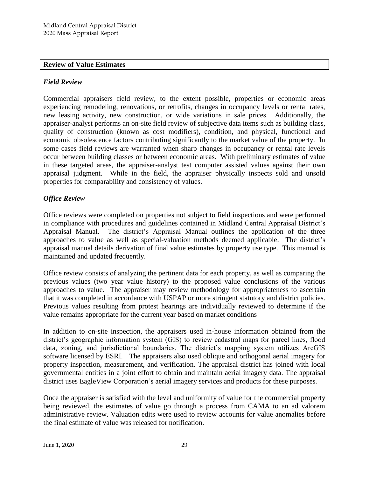#### **Review of Value Estimates**

### *Field Review*

Commercial appraisers field review, to the extent possible, properties or economic areas experiencing remodeling, renovations, or retrofits, changes in occupancy levels or rental rates, new leasing activity, new construction, or wide variations in sale prices. Additionally, the appraiser-analyst performs an on-site field review of subjective data items such as building class, quality of construction (known as cost modifiers), condition, and physical, functional and economic obsolescence factors contributing significantly to the market value of the property. In some cases field reviews are warranted when sharp changes in occupancy or rental rate levels occur between building classes or between economic areas. With preliminary estimates of value in these targeted areas, the appraiser-analyst test computer assisted values against their own appraisal judgment. While in the field, the appraiser physically inspects sold and unsold properties for comparability and consistency of values.

# *Office Review*

Office reviews were completed on properties not subject to field inspections and were performed in compliance with procedures and guidelines contained in Midland Central Appraisal District's Appraisal Manual. The district's Appraisal Manual outlines the application of the three approaches to value as well as special-valuation methods deemed applicable. The district's appraisal manual details derivation of final value estimates by property use type. This manual is maintained and updated frequently.

Office review consists of analyzing the pertinent data for each property, as well as comparing the previous values (two year value history) to the proposed value conclusions of the various approaches to value. The appraiser may review methodology for appropriateness to ascertain that it was completed in accordance with USPAP or more stringent statutory and district policies. Previous values resulting from protest hearings are individually reviewed to determine if the value remains appropriate for the current year based on market conditions

In addition to on-site inspection, the appraisers used in-house information obtained from the district's geographic information system (GIS) to review cadastral maps for parcel lines, flood data, zoning, and jurisdictional boundaries. The district's mapping system utilizes ArcGIS software licensed by ESRI. The appraisers also used oblique and orthogonal aerial imagery for property inspection, measurement, and verification. The appraisal district has joined with local governmental entities in a joint effort to obtain and maintain aerial imagery data. The appraisal district uses EagleView Corporation's aerial imagery services and products for these purposes.

Once the appraiser is satisfied with the level and uniformity of value for the commercial property being reviewed, the estimates of value go through a process from CAMA to an ad valorem administrative review. Valuation edits were used to review accounts for value anomalies before the final estimate of value was released for notification.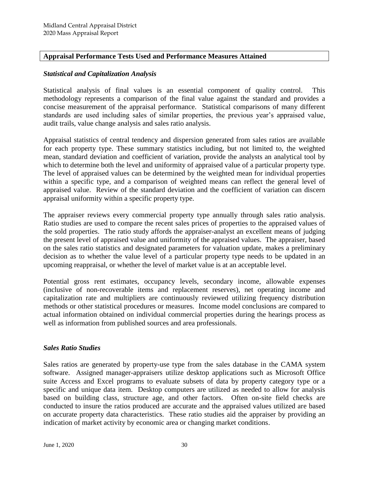# **Appraisal Performance Tests Used and Performance Measures Attained**

#### *Statistical and Capitalization Analysis*

Statistical analysis of final values is an essential component of quality control. This methodology represents a comparison of the final value against the standard and provides a concise measurement of the appraisal performance. Statistical comparisons of many different standards are used including sales of similar properties, the previous year's appraised value, audit trails, value change analysis and sales ratio analysis.

Appraisal statistics of central tendency and dispersion generated from sales ratios are available for each property type. These summary statistics including, but not limited to, the weighted mean, standard deviation and coefficient of variation, provide the analysts an analytical tool by which to determine both the level and uniformity of appraised value of a particular property type. The level of appraised values can be determined by the weighted mean for individual properties within a specific type, and a comparison of weighted means can reflect the general level of appraised value. Review of the standard deviation and the coefficient of variation can discern appraisal uniformity within a specific property type.

The appraiser reviews every commercial property type annually through sales ratio analysis. Ratio studies are used to compare the recent sales prices of properties to the appraised values of the sold properties. The ratio study affords the appraiser-analyst an excellent means of judging the present level of appraised value and uniformity of the appraised values. The appraiser, based on the sales ratio statistics and designated parameters for valuation update, makes a preliminary decision as to whether the value level of a particular property type needs to be updated in an upcoming reappraisal, or whether the level of market value is at an acceptable level.

Potential gross rent estimates, occupancy levels, secondary income, allowable expenses (inclusive of non-recoverable items and replacement reserves), net operating income and capitalization rate and multipliers are continuously reviewed utilizing frequency distribution methods or other statistical procedures or measures. Income model conclusions are compared to actual information obtained on individual commercial properties during the hearings process as well as information from published sources and area professionals.

#### *Sales Ratio Studies*

Sales ratios are generated by property-use type from the sales database in the CAMA system software. Assigned manager-appraisers utilize desktop applications such as Microsoft Office suite Access and Excel programs to evaluate subsets of data by property category type or a specific and unique data item. Desktop computers are utilized as needed to allow for analysis based on building class, structure age, and other factors. Often on-site field checks are conducted to insure the ratios produced are accurate and the appraised values utilized are based on accurate property data characteristics. These ratio studies aid the appraiser by providing an indication of market activity by economic area or changing market conditions.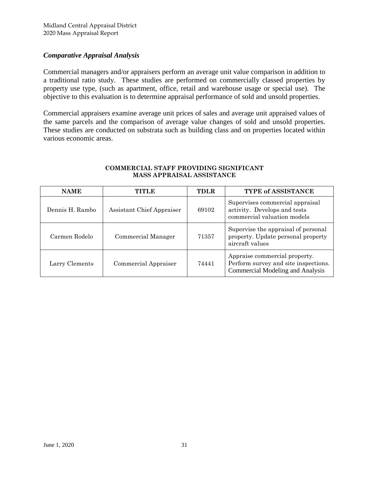# *Comparative Appraisal Analysis*

Commercial managers and/or appraisers perform an average unit value comparison in addition to a traditional ratio study. These studies are performed on commercially classed properties by property use type, (such as apartment, office, retail and warehouse usage or special use). The objective to this evaluation is to determine appraisal performance of sold and unsold properties.

Commercial appraisers examine average unit prices of sales and average unit appraised values of the same parcels and the comparison of average value changes of sold and unsold properties. These studies are conducted on substrata such as building class and on properties located within various economic areas.

| <b>NAME</b>     | TITLE.                    | <b>TDLR</b> | TYPE of ASSISTANCE                                                                                               |
|-----------------|---------------------------|-------------|------------------------------------------------------------------------------------------------------------------|
| Dennis H. Rambo | Assistant Chief Appraiser | 69102       | Supervises commercial appraisal<br>activity. Develops and tests<br>commercial valuation models                   |
| Carmen Rodelo   | Commercial Manager        | 71357       | Supervise the appraisal of personal<br>property. Update personal property<br>aircraft values                     |
| Larry Clements  | Commercial Appraiser      | 74441       | Appraise commercial property.<br>Perform survey and site inspections.<br><b>Commercial Modeling and Analysis</b> |

#### **COMMERCIAL STAFF PROVIDING SIGNIFICANT MASS APPRAISAL ASSISTANCE**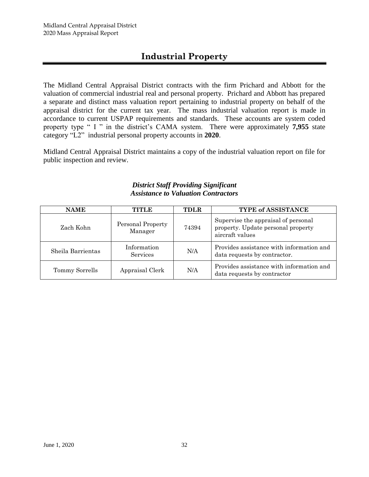# **Industrial Property**

The Midland Central Appraisal District contracts with the firm Prichard and Abbott for the valuation of commercial industrial real and personal property. Prichard and Abbott has prepared a separate and distinct mass valuation report pertaining to industrial property on behalf of the appraisal district for the current tax year. The mass industrial valuation report is made in accordance to current USPAP requirements and standards. These accounts are system coded property type " I " in the district's CAMA system. There were approximately **7,955** state category "L2" industrial personal property accounts in **2020**.

Midland Central Appraisal District maintains a copy of the industrial valuation report on file for public inspection and review.

# *District Staff Providing Significant Assistance to Valuation Contractors*

| <b>NAME</b>       | TITLE                        | <b>TDLR</b> | <b>TYPE of ASSISTANCE</b>                                                                    |
|-------------------|------------------------------|-------------|----------------------------------------------------------------------------------------------|
| Zach Kohn         | Personal Property<br>Manager | 74394       | Supervise the appraisal of personal<br>property. Update personal property<br>aircraft values |
| Sheila Barrientas | Information<br>Services      | N/A         | Provides assistance with information and<br>data requests by contractor.                     |
| Tommy Sorrells    | Appraisal Clerk              | N/A         | Provides assistance with information and<br>data requests by contractor                      |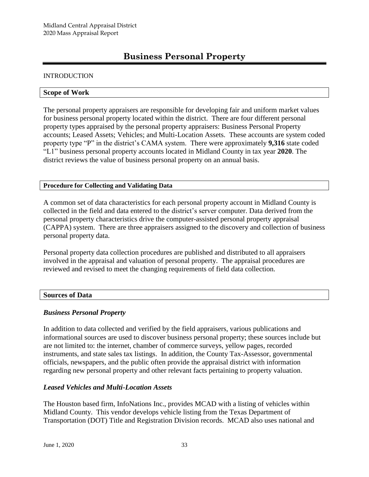# **Business Personal Property**

#### INTRODUCTION

#### **Scope of Work**

The personal property appraisers are responsible for developing fair and uniform market values for business personal property located within the district. There are four different personal property types appraised by the personal property appraisers: Business Personal Property accounts; Leased Assets; Vehicles; and Multi-Location Assets. These accounts are system coded property type "P" in the district's CAMA system. There were approximately **9,316** state coded "L1" business personal property accounts located in Midland County in tax year **2020**. The district reviews the value of business personal property on an annual basis.

#### **Procedure for Collecting and Validating Data**

A common set of data characteristics for each personal property account in Midland County is collected in the field and data entered to the district's server computer. Data derived from the personal property characteristics drive the computer-assisted personal property appraisal (CAPPA) system. There are three appraisers assigned to the discovery and collection of business personal property data.

Personal property data collection procedures are published and distributed to all appraisers involved in the appraisal and valuation of personal property. The appraisal procedures are reviewed and revised to meet the changing requirements of field data collection.

#### **Sources of Data**

#### *Business Personal Property*

In addition to data collected and verified by the field appraisers, various publications and informational sources are used to discover business personal property; these sources include but are not limited to: the internet, chamber of commerce surveys, yellow pages, recorded instruments, and state sales tax listings. In addition, the County Tax-Assessor, governmental officials, newspapers, and the public often provide the appraisal district with information regarding new personal property and other relevant facts pertaining to property valuation.

#### *Leased Vehicles and Multi-Location Assets*

The Houston based firm, InfoNations Inc., provides MCAD with a listing of vehicles within Midland County. This vendor develops vehicle listing from the Texas Department of Transportation (DOT) Title and Registration Division records. MCAD also uses national and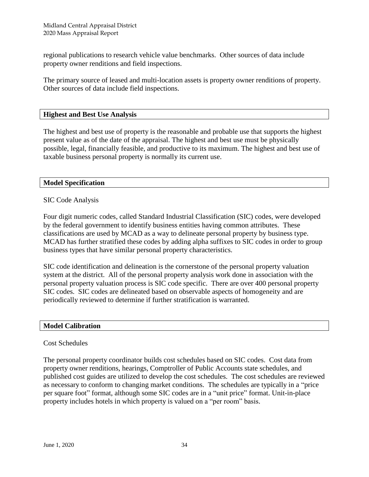regional publications to research vehicle value benchmarks. Other sources of data include property owner renditions and field inspections.

The primary source of leased and multi-location assets is property owner renditions of property. Other sources of data include field inspections.

#### **Highest and Best Use Analysis**

The highest and best use of property is the reasonable and probable use that supports the highest present value as of the date of the appraisal. The highest and best use must be physically possible, legal, financially feasible, and productive to its maximum. The highest and best use of taxable business personal property is normally its current use.

#### **Model Specification**

#### SIC Code Analysis

Four digit numeric codes, called Standard Industrial Classification (SIC) codes, were developed by the federal government to identify business entities having common attributes. These classifications are used by MCAD as a way to delineate personal property by business type. MCAD has further stratified these codes by adding alpha suffixes to SIC codes in order to group business types that have similar personal property characteristics.

SIC code identification and delineation is the cornerstone of the personal property valuation system at the district. All of the personal property analysis work done in association with the personal property valuation process is SIC code specific. There are over 400 personal property SIC codes. SIC codes are delineated based on observable aspects of homogeneity and are periodically reviewed to determine if further stratification is warranted.

#### **Model Calibration**

#### Cost Schedules

The personal property coordinator builds cost schedules based on SIC codes. Cost data from property owner renditions, hearings, Comptroller of Public Accounts state schedules, and published cost guides are utilized to develop the cost schedules. The cost schedules are reviewed as necessary to conform to changing market conditions. The schedules are typically in a "price per square foot" format, although some SIC codes are in a "unit price" format. Unit-in-place property includes hotels in which property is valued on a "per room" basis.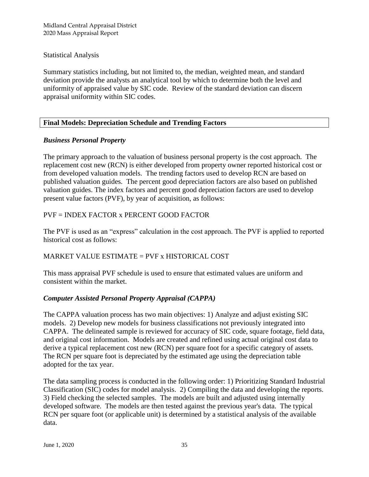Midland Central Appraisal District 2020 Mass Appraisal Report

Statistical Analysis

Summary statistics including, but not limited to, the median, weighted mean, and standard deviation provide the analysts an analytical tool by which to determine both the level and uniformity of appraised value by SIC code. Review of the standard deviation can discern appraisal uniformity within SIC codes.

# **Final Models: Depreciation Schedule and Trending Factors**

# *Business Personal Property*

The primary approach to the valuation of business personal property is the cost approach. The replacement cost new (RCN) is either developed from property owner reported historical cost or from developed valuation models. The trending factors used to develop RCN are based on published valuation guides. The percent good depreciation factors are also based on published valuation guides. The index factors and percent good depreciation factors are used to develop present value factors (PVF), by year of acquisition, as follows:

# PVF = INDEX FACTOR x PERCENT GOOD FACTOR

The PVF is used as an "express" calculation in the cost approach. The PVF is applied to reported historical cost as follows:

# MARKET VALUE ESTIMATE = PVF x HISTORICAL COST

This mass appraisal PVF schedule is used to ensure that estimated values are uniform and consistent within the market.

# *Computer Assisted Personal Property Appraisal (CAPPA)*

The CAPPA valuation process has two main objectives: 1) Analyze and adjust existing SIC models. 2) Develop new models for business classifications not previously integrated into CAPPA. The delineated sample is reviewed for accuracy of SIC code, square footage, field data, and original cost information. Models are created and refined using actual original cost data to derive a typical replacement cost new (RCN) per square foot for a specific category of assets. The RCN per square foot is depreciated by the estimated age using the depreciation table adopted for the tax year.

The data sampling process is conducted in the following order: 1) Prioritizing Standard Industrial Classification (SIC) codes for model analysis. 2) Compiling the data and developing the reports. 3) Field checking the selected samples. The models are built and adjusted using internally developed software. The models are then tested against the previous year's data. The typical RCN per square foot (or applicable unit) is determined by a statistical analysis of the available data.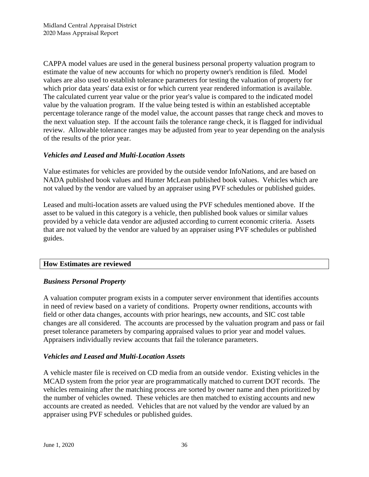CAPPA model values are used in the general business personal property valuation program to estimate the value of new accounts for which no property owner's rendition is filed. Model values are also used to establish tolerance parameters for testing the valuation of property for which prior data years' data exist or for which current year rendered information is available. The calculated current year value or the prior year's value is compared to the indicated model value by the valuation program. If the value being tested is within an established acceptable percentage tolerance range of the model value, the account passes that range check and moves to the next valuation step. If the account fails the tolerance range check, it is flagged for individual review. Allowable tolerance ranges may be adjusted from year to year depending on the analysis of the results of the prior year.

# *Vehicles and Leased and Multi-Location Assets*

Value estimates for vehicles are provided by the outside vendor InfoNations, and are based on NADA published book values and Hunter McLean published book values. Vehicles which are not valued by the vendor are valued by an appraiser using PVF schedules or published guides.

Leased and multi-location assets are valued using the PVF schedules mentioned above. If the asset to be valued in this category is a vehicle, then published book values or similar values provided by a vehicle data vendor are adjusted according to current economic criteria. Assets that are not valued by the vendor are valued by an appraiser using PVF schedules or published guides.

#### **How Estimates are reviewed**

#### *Business Personal Property*

A valuation computer program exists in a computer server environment that identifies accounts in need of review based on a variety of conditions. Property owner renditions, accounts with field or other data changes, accounts with prior hearings, new accounts, and SIC cost table changes are all considered. The accounts are processed by the valuation program and pass or fail preset tolerance parameters by comparing appraised values to prior year and model values. Appraisers individually review accounts that fail the tolerance parameters.

#### *Vehicles and Leased and Multi-Location Assets*

A vehicle master file is received on CD media from an outside vendor. Existing vehicles in the MCAD system from the prior year are programmatically matched to current DOT records. The vehicles remaining after the matching process are sorted by owner name and then prioritized by the number of vehicles owned. These vehicles are then matched to existing accounts and new accounts are created as needed. Vehicles that are not valued by the vendor are valued by an appraiser using PVF schedules or published guides.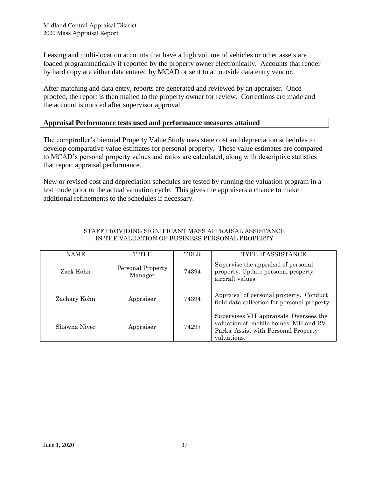Leasing and multi-location accounts that have a high volume of vehicles or other assets are loaded programmatically if reported by the property owner electronically. Accounts that render by hard copy are either data entered by MCAD or sent to an outside data entry vendor.

After matching and data entry, reports are generated and reviewed by an appraiser. Once proofed, the report is then mailed to the property owner for review. Corrections are made and the account is noticed after supervisor approval.

# **Appraisal Performance tests used and performance measures attained**

The comptroller's biennial Property Value Study uses state cost and depreciation schedules to develop comparative value estimates for personal property. These value estimates are compared to MCAD's personal property values and ratios are calculated, along with descriptive statistics that report appraisal performance.

New or revised cost and depreciation schedules are tested by running the valuation program in a test mode prior to the actual valuation cycle. This gives the appraisers a chance to make additional refinements to the schedules if necessary.

| NAME         | TITLE                        | TDLR  | TYPE of ASSISTANCE                                                                                                                     |
|--------------|------------------------------|-------|----------------------------------------------------------------------------------------------------------------------------------------|
| Zack Kohn    | Personal Property<br>Manager | 74394 | Supervise the appraisal of personal<br>property. Update personal property<br>aircraft values                                           |
| Zachary Kohn | Appraiser                    | 74394 | Appraisal of personal property. Conduct<br>field data collection for personal property                                                 |
| Shawna Niver | Appraiser                    | 74297 | Supervises VIT appraisals. Oversees the<br>valuation of mobile homes, MH and RV<br>Parks. Assist with Personal Property<br>valuations. |

#### STAFF PROVIDING SIGNIFICANT MASS APPRAISAL ASSISTANCE IN THE VALUATION OF BUSINESS PERSONAL PROPERTY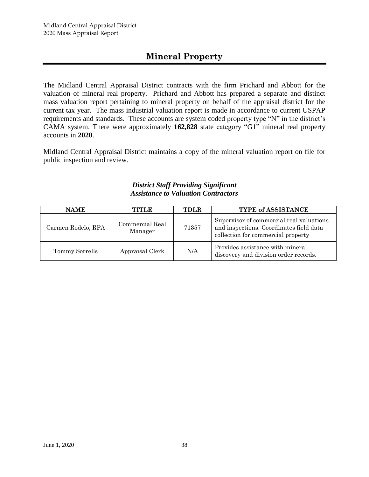# **Mineral Property**

The Midland Central Appraisal District contracts with the firm Prichard and Abbott for the valuation of mineral real property. Prichard and Abbott has prepared a separate and distinct mass valuation report pertaining to mineral property on behalf of the appraisal district for the current tax year. The mass industrial valuation report is made in accordance to current USPAP requirements and standards. These accounts are system coded property type "N" in the district's CAMA system. There were approximately **162,828** state category "G1" mineral real property accounts in **2020**.

Midland Central Appraisal District maintains a copy of the mineral valuation report on file for public inspection and review.

# *District Staff Providing Significant Assistance to Valuation Contractors*

| <b>NAME</b>        | TITLE                      | <b>TDLR</b> | <b>TYPE of ASSISTANCE</b>                                                                                                 |
|--------------------|----------------------------|-------------|---------------------------------------------------------------------------------------------------------------------------|
| Carmen Rodelo, RPA | Commercial Real<br>Manager | 71357       | Supervisor of commercial real valuations<br>and inspections. Coordinates field data<br>collection for commercial property |
| Tommy Sorrells     | Appraisal Clerk            | N/A         | Provides assistance with mineral<br>discovery and division order records.                                                 |